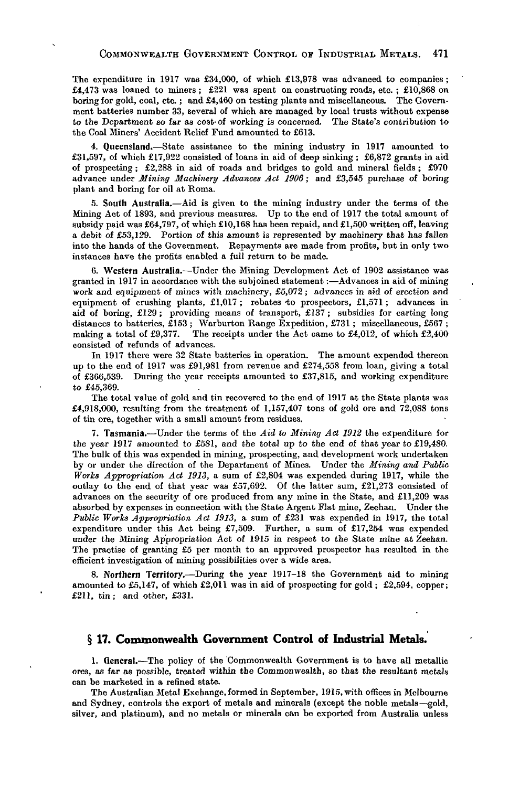The expenditure in 1917 was £34,000, of which £13,978 was advanced to companies ; £4,473 was loaned to miners; £221 was spent on constructing roads, etc.; £10,868 on boring for gold, coal, etc. ; and £4,460 on testing plants and miscellaneous. The Government batteries number 33, several of which are managed by local trusts without expense to the Department so far as cost-of working is concerned. The State's contribution to the Coal Miners' Accident Relief Fund amounted to £613.

4. Queensland.—State assistance to the mining industry in 1917 amounted to £31,597, of which £17,922 consisted of loans in aid of deep sinking; £6,872 grants in aid of prospecting; £2,288 in aid of roads and bridges to gold and mineral fields;  $£970$ advance under Mining Machinery Advances Act 1906; and £3,545 purchase of boring plant and boring for oil at Roma.

*5.* South Australia.—Aid is given to the mining industry under the terms of the Mining Act of 1893, and previous measures. Up to the end of 1917 the total amount of subsidy paid was £64,797, of which £10,168 has been repaid, and £1,500 written off, leaving a debit of £53,129. Portion of this amount is represented by machinery that has fallen into the hands of the Government. Repayments are made from profits, but in only two instances have the profits enabled a full return to be made.

6. Western Australia.—Under the Mining Development Act of 1902 assistance was granted in 1917 in accordance with the subjoined statement:—Advances in aid of mining work and equipment of mines with machinery, £5,072; advances in aid of erection and equipment of crushing plants, £1,017; rebates to prospectors, £1,571; advances in aid of boring, £129; providing means of transport, £137; subsidies for carting long distances to batteries,  $\overline{153}$ ; Warburton Range Expedition, £731; miscellaneous, £567; making a total of £9,377. The receipts under the Act came to £4,012, of which £2,400 The receipts under the Act came to  $£4,012$ , of which  $£2,400$ consisted of refunds of advances.

In 1917 there were 32 State batteries in operation. The amount expended thereon up to the end of 1917 was £91,981 from revenue and £274,558 from loan, giving a total of £366,539. During the year receipts amounted to £37,815, and working expenditure to £45,369.

The total value of gold and tin recovered to the end of 1917 at the State plants was £4,918,000, resulting from the treatment of 1,157,407 tons of gold ore and 72,088 tons of tin ore, together with a small amount from residues.

7. Tasmania.—Under the terms of the *Aid to Mining Act 1912* the expenditure for the year 1917 amounted to £581, and the total up to the end of that year to £19,480. The bulk of this was expended in mining, prospecting, and development work undertaken by or under the direction of the Department of Mines. Under the *Mining and Public Works Appropriation Act 1913,* a sum of £2,804 was expended during 1917, while the outlay to the end of that year was  $£57,692$ . Of the latter sum,  $£21,273$  consisted of advances on the security of ore produced from any mine in the State, and £11,209 was absorbed by expenses in connection with the State Argent Flat mine, Zeehan. Under the *Public Works Appropriation Act 1913,* a sum of £231 was expended in 1917, the total expenditure under this Act being  $£7,509$ . Further, a sum of £17,254 was expended under the Mining Appropriation Act of 1915 in respect to the State mine at Zeehan. The practise of granting £5 per month to an approved prospector has resulted in the efficient investigation of mining possibilities over a wide area.

8. Northern Territory.—During the year 1917-18 the Government aid to mining amounted to £5,147, of which £2,011 was in aid of prospecting for gold; £2,594, copper; £211, tin; and other, £331.

## **§ 17. Commonwealth Government Control of Industrial Metals.**

1. General.—The policy of the Commonwealth Government is to have all metallic ores, as far as possible, treated within the Commonwealth, so that the resultant metals can be marketed in a refined state.

The Australian Metal Exchange, formed in September, 1915, with offices in Melbourne and Sydney, controls the export of metals and minerals (except the noble metals—gold, silver, and platinum), and no metals or minerals can be exported from Australia unless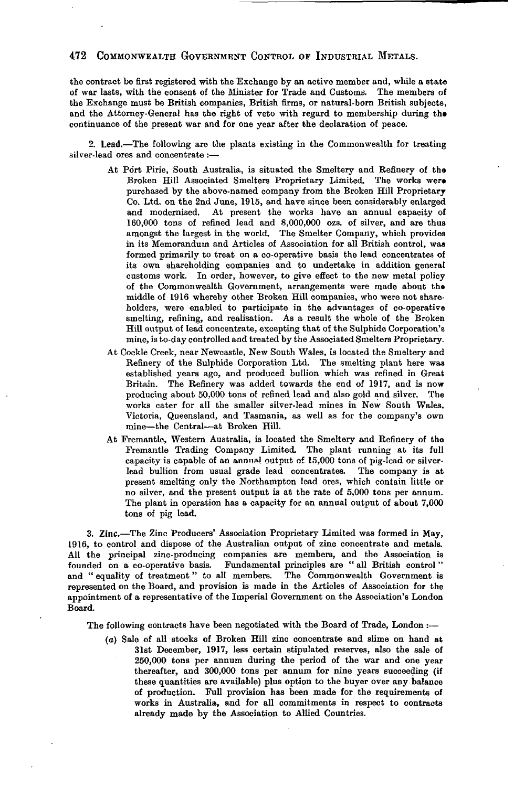## 472 COMMONWEALTH GOVEBNMENT CONTROL OF INDUSTRIAL METALS.

the contract be first registered with the Exchange by an active member and, while a state of war lasts, with the consent of the Minister for Trade and Customs. The members of the Exchange must be British companies, British firms, or natural-born British subjects, and the Attorney-General has the right of veto with regard to membership during the continuance of the present war and for one year after the declaration of peace.

2. Lead.—The following are the plants existing in the Commonwealth for treating silver-lead ores and concentrate :—

- At Port Pirie, South Australia, is situated the Smeltery and Refinery of tha Broken Hill Associated Smelters Proprietary Limited. The works wer» purchased by the above-named company from the Broken Hill Proprietary Co. Ltd. on the 2nd June, 1915, and have since been considerably enlarged and modernised. At present the works have an annual capacity of 160,000 tons of refined lead and 8,000,000 ozs. of silver, and are thus amongst the largest in the world. The Smelter Company, which provides in its Memorandum and Articles of Association for all British control, was formed primarily to treat on a co-operative basis the lead concentrates of its own shareholding companies and to undertake in addition general customs work. In order, however, to give effect to the new metal policy of the Commonwealth Government, arrangements were made about tha middle of 1916 whereby other Broken Hill companies, who were not shareholders, were enabled to participate in the advantages of co-operative smelting, refining, and realisation. As a result the whole of the Broken Hill output of lead concentrate, excepting that of the Sulphide Corporation's mine, is to-day controlled and treated by the Associated Smelters Proprietary.
- At Cockle Creek, near Newcastle, New South Wales, is located the Smeltery and Refinery of the Sulphide Corporation Ltd. The smelting plant here was established years ago, and produced bullion which was refined in Great Britain. The Refinery was added towards the end of 1917, and is now producing about 50,000 tons of refined lead and also gold and silver. The works cater for all the smaller silver-lead mines in New South Wales, Victoria, Queensland, and Tasmania, as well as for the company's own mine—the Central—at Broken Hill.
- At Fremantle, Western Australia, is located the Smeltery and Refinery of tha Fremantle Trading Company Limited. The plant running at its full capacity is capable of an annual output of 15,000 tons of pig-lead or silverlead bullion from usual grade lead concentrates. The company is at present smelting only the Northampton lead ores, which contain little or no silver, and the present output is at the rate of 5,000 tons per annum. The plant in operation has a capacity for an annual output of about 7,000 tons of pig lead.

3. Zinc.—The Zinc Producers' Association Proprietary Limited was formed in May, 1916, to control and dispose of the Australian output of zinc concentrate and metals. All the principal zinc-producing companies are members, and the Association is founded on a co-operative basis. Fundamental principles are " all British control" and " equality of treatment" to all members. The Commonwealth Government is represented on the Board, and provision is made in the Articles of Association for the appointment of a representative of the Imperial Government on the Association's London Board.

The following contracts have been negotiated with the Board of Trade, London :—

*(a)* Sale of all stocks of Broken Hill zinc concentrate and slime on hand at 31st December, 1917, less certain stipulated reserves, also the sale of 250,000 tons per annum during the period of the war and one year thereafter, and 300,000 tons per annum for nine years succeeding (if these quantities are available) plus option to the buyer over any balance of production. Full provision has been made for the requirements of works in Australia, and for all commitments in respect to contracts already made by the Association to Allied Countries.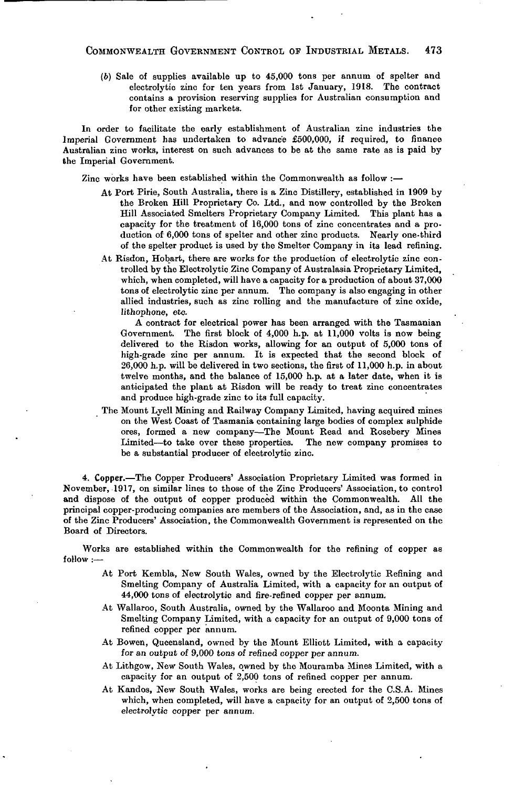(6) Sale of supplies available up to 45,000 tons per annum of spelter and electrolytic zinc for ten years from 1st January, 1918. The contract contains a provision reserving supplies for Australian consumption and for other existing markets.

In order to facilitate the early establishment of Australian zinc industries the Imperial Government has undertaken to advance £500,000, if required, to finance Australian zinc works, interest on such advances to be at the same rate as is paid by the Imperial Government.

Zinc works have been established within the Commonwealth as follow :—

- At Port Pirie, South Australia, there is a Zinc Distillery, established in 1909 by the Broken Hill Proprietary Co. Ltd., and now controlled by the Broken Hill Associated Smelters Proprietary Company Limited. This plant has a capacity for the treatment of 16,000 tons of zinc concentrates and a production of 6,000 tons of spelter and other zinc products. Nearly one-third of the spelter product is used by the Smelter Company in its lead refining.
- At Risdon, Hobart, there are works for the production of electrolytic zinc controlled by the Electrolytic Zinc Company of Australasia Proprietary Limited, which, when completed, will have a capacity for a production of about 37,000 tons of electrolytic zinc per annum. The company is also engaging in other allied industries, such as zinc rolling and the manufacture of zinc oxide, lithophone, etc.

A contract for electrical power has been arranged with the Tasmanian Government. The first block of 4,000 h.p. at 11,000 volts is now being delivered to the Risdon works, allowing for an output of 5,000 tons of high-grade zinc per annum. It is expected that the second block of 26,000 h.p. will be delivered in two sections, the first of 11,000 h.p. in about twelve months, and the balance of 15,000 h.p. at a later date, when it is anticipated the plant at Risdon will be ready to treat zinc concentrates and produce high-grade zinc to its full capacity.

The Mount Lyell Mining and Railway Company Limited, having acquired mines on the West Coast of Tasmania containing large bodies of complex sulphide ores, formed a new company—The Mount Read and Rosebery Mines Limited—to take over these properties. The new company promises to be a substantial producer of electrolytic zinc.

4. Copper.—The Copper Producers' Association Proprietary Limited was formed in November, 1917, on similar lines to those of the Zinc Producers' Association, to control and dispose of the output of copper produced within the Commonwealth. All the principal copper-producing companies are members of the Association, and, as in the case of the Zinc Producers' Association, the Commonwealth Government is represented on the Board of Directors.

Works are established within the Commonwealth for the refining of copper as follow :—

- At Port Kembla, New South Wales, owned by the Electrolytic Refining and Smelting Company of Australia Limited, with a capacity for an output of 44,000 tons of electrolytic and fire-refined copper per annum.
- At Wallaroo, South Australia, owned by the Wallaroo and Moonta Mining and Smelting Company Limited, with a capacity for an output of 9,000 tons of refined copper per annum.
- At Bowen, Queensland, owned by the Mount Elliott Limited, with a capacity for an output of 9,000 tons of refined copper per annum.
- At Lithgow, New South Wales, owned by the Mouramba Mines Limited, with a capacity for an output of 2,500 tons of refined copper per annum.
- At Kandos, New South Wales, works are being erected for the C.S.A. Mines which, when completed, will have a capacity for an output of 2,500 tons of electrolytic copper per annum.